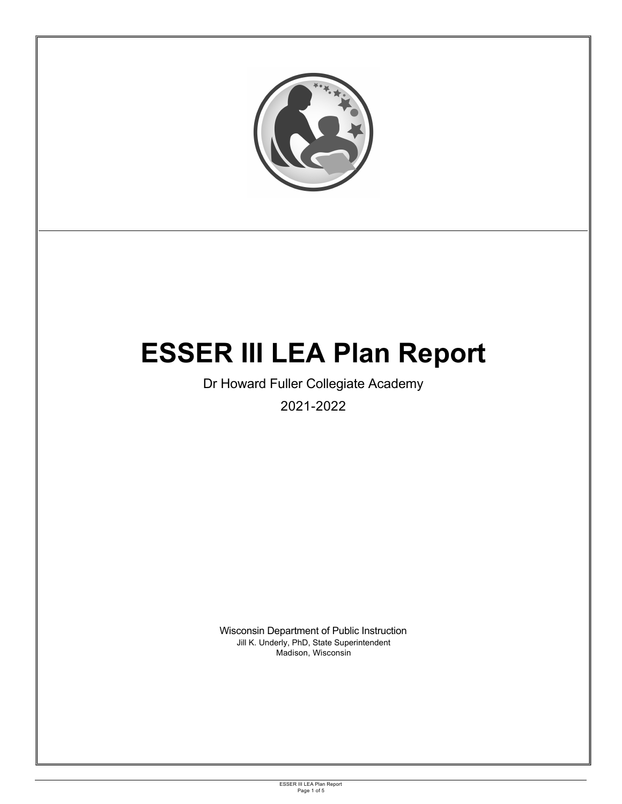

ESSER III LEA Plan Report Page 1 of 5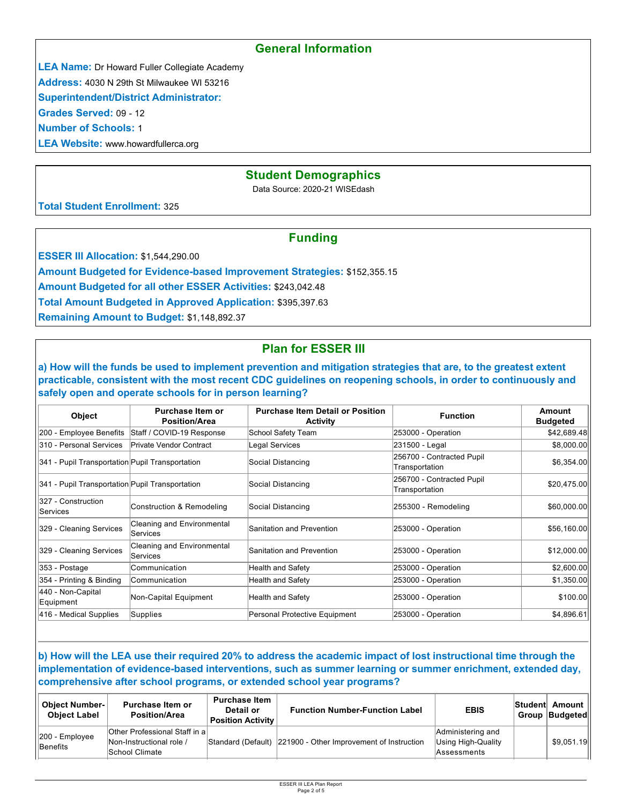## **General Information**

**LEA Name:** Dr Howard Fuller Collegiate Academy

**Address:** 4030 N 29th St Milwaukee WI 53216

**Superintendent/District Administrator:**

**Grades Served:** 09 - 12

**Number of Schools:** 1

**LEA Website:** www.howardfullerca.org

# **Student Demographics**

Data Source: 2020-21 WISEdash

**Total Student Enrollment:** 325

# **Funding**

**ESSER III Allocation:** \$1,544,290.00

**Amount Budgeted for Evidence-based Improvement Strategies:** \$152,355.15

**Amount Budgeted for all other ESSER Activities:** \$243,042.48

**Total Amount Budgeted in Approved Application:** \$395,397.63

**Remaining Amount to Budget:** \$1,148,892.37

# **Plan for ESSER III**

**a) How will the funds be used to implement prevention and mitigation strategies that are, to the greatest extent practicable, consistent with the most recent CDC guidelines on reopening schools, in order to continuously and safely open and operate schools for in person learning?**

| Object                                          | Purchase Item or<br><b>Position/Area</b>      | <b>Purchase Item Detail or Position</b><br><b>Activity</b> | <b>Function</b>                             | Amount<br><b>Budgeted</b> |
|-------------------------------------------------|-----------------------------------------------|------------------------------------------------------------|---------------------------------------------|---------------------------|
| 200 - Employee Benefits                         | Staff / COVID-19 Response                     | School Safety Team                                         | 253000 - Operation                          | \$42,689.48               |
| 310 - Personal Services                         | <b>Private Vendor Contract</b>                | Legal Services                                             | 231500 - Legal                              | \$8,000.00                |
| 341 - Pupil Transportation Pupil Transportation |                                               | Social Distancing                                          | 256700 - Contracted Pupil<br>Transportation | \$6,354.00                |
| 341 - Pupil Transportation Pupil Transportation |                                               | Social Distancing                                          | 256700 - Contracted Pupil<br>Transportation | \$20,475.00               |
| 327 - Construction<br>Services                  | Construction & Remodeling                     | Social Distancing                                          | 255300 - Remodeling                         | \$60,000.00               |
| 329 - Cleaning Services                         | <b>Cleaning and Environmental</b><br>Services | Sanitation and Prevention                                  | 253000 - Operation                          | \$56,160.00               |
| 329 - Cleaning Services                         | <b>Cleaning and Environmental</b><br>Services | Sanitation and Prevention                                  | 253000 - Operation                          | \$12,000.00               |
| 353 - Postage                                   | Communication                                 | <b>Health and Safety</b>                                   | 253000 - Operation                          | \$2,600.00                |
| 354 - Printing & Binding                        | Communication                                 | <b>Health and Safety</b>                                   | 253000 - Operation                          | \$1,350.00                |
| 440 - Non-Capital<br>Equipment                  | Non-Capital Equipment                         | Health and Safety                                          | 253000 - Operation                          | \$100.00                  |
| 416 - Medical Supplies                          | Supplies                                      | Personal Protective Equipment                              | 253000 - Operation                          | \$4,896.61                |

**b) How will the LEA use their required 20% to address the academic impact of lost instructional time through the implementation of evidence-based interventions, such as summer learning or summer enrichment, extended day, comprehensive after school programs, or extended school year programs?**

| <b>Object Number-</b><br><b>Object Label</b> | Purchase Item or<br><b>Position/Area</b>                                      | <b>Purchase Item</b><br>Detail or<br><b>Position Activity</b> | <b>Function Number-Function Label</b>                        | <b>EBIS</b>                                            | Student Amount<br>Group Budgeted |
|----------------------------------------------|-------------------------------------------------------------------------------|---------------------------------------------------------------|--------------------------------------------------------------|--------------------------------------------------------|----------------------------------|
| 200 - Employee<br>Benefits                   | Other Professional Staff in all<br>Non-Instructional role /<br>School Climate |                                                               | Standard (Default) 221900 - Other Improvement of Instruction | Administering and<br>Using High-Quality<br>Assessments | \$9.051.19                       |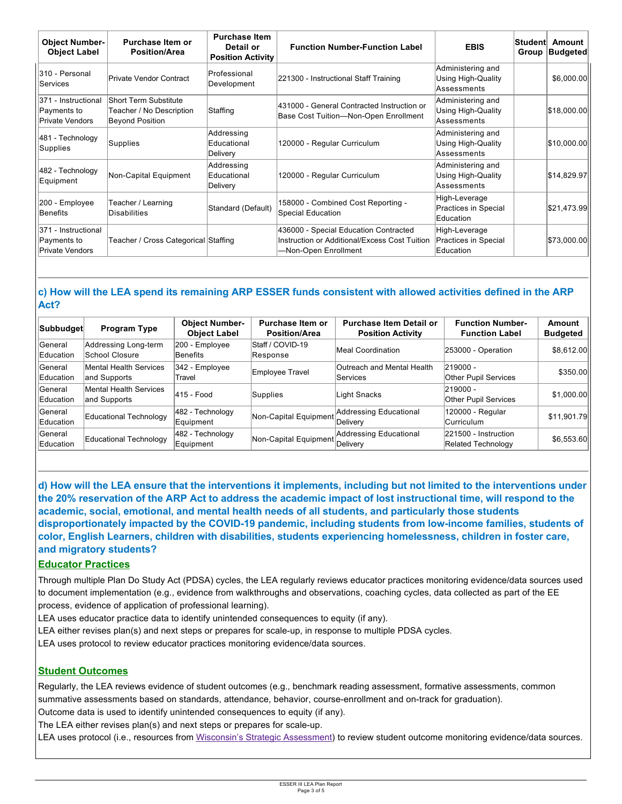| <b>Object Number-</b><br><b>Object Label</b>                 | Purchase Item or<br><b>Position/Area</b>                                    | <b>Purchase Item</b><br>Detail or<br><b>Position Activity</b> | <b>Function Number-Function Label</b>                                                                         | <b>EBIS</b>                                                   | lStudenti | Amount<br>Group   Budgeted |
|--------------------------------------------------------------|-----------------------------------------------------------------------------|---------------------------------------------------------------|---------------------------------------------------------------------------------------------------------------|---------------------------------------------------------------|-----------|----------------------------|
| 310 - Personal<br>Services                                   | Private Vendor Contract                                                     | Professional<br>Development                                   | 221300 - Instructional Staff Training                                                                         | Administering and<br>Using High-Quality<br>Assessments        |           | \$6,000.00                 |
| 371 - Instructional<br>Payments to<br>Private Vendors        | Short Term Substitute<br>Teacher / No Description<br><b>Beyond Position</b> | Staffing                                                      | 431000 - General Contracted Instruction or<br>Base Cost Tuition-Non-Open Enrollment                           | Administering and<br>Using High-Quality<br>Assessments        |           | \$18,000.00                |
| 481 - Technology<br>Supplies                                 | Supplies                                                                    | Addressing<br>Educational<br>Delivery                         | 120000 - Regular Curriculum                                                                                   | Administering and<br><b>Using High-Quality</b><br>Assessments |           | \$10,000.00                |
| 482 - Technology<br>Equipment                                | Non-Capital Equipment                                                       | Addressing<br>Educational<br>Delivery                         | 120000 - Regular Curriculum                                                                                   | Administering and<br>Using High-Quality<br>lAssessments       |           | \$14,829.97                |
| 200 - Employee<br>Benefits                                   | Teacher / Learning<br><b>Disabilities</b>                                   | Standard (Default)                                            | 158000 - Combined Cost Reporting -<br><b>Special Education</b>                                                | High-Leverage<br>Practices in Special<br>Education            |           | \$21,473.99                |
| 371 - Instructional<br>Payments to<br><b>Private Vendors</b> | Teacher / Cross Categorical Staffing                                        |                                                               | 436000 - Special Education Contracted<br>Instruction or Additional/Excess Cost Tuition<br>Non-Open Enrollment | High-Leverage<br>Practices in Special<br>Education            |           | \$73,000.00                |

## **c) How will the LEA spend its remaining ARP ESSER funds consistent with allowed activities defined in the ARP Act?**

| Subbudget            | <b>Program Type</b>                           | <b>Object Number-</b><br><b>Object Label</b> | Purchase Item or<br><b>Position/Area</b> | <b>Purchase Item Detail or</b><br><b>Position Activity</b> | <b>Function Number-</b><br><b>Function Label</b> | Amount<br><b>Budgeted</b> |
|----------------------|-----------------------------------------------|----------------------------------------------|------------------------------------------|------------------------------------------------------------|--------------------------------------------------|---------------------------|
| General<br>Education | Addressing Long-term<br>School Closure        | 200 - Employee<br>Benefits                   | Staff / COVID-19<br>Response             | Meal Coordination                                          | 253000 - Operation                               | \$8,612.00                |
| General<br>Education | <b>Mental Health Services</b><br>and Supports | 342 - Employee<br>Travel                     | Employee Travel                          | Outreach and Mental Health<br><b>Services</b>              | $ 219000 -$<br>Other Pupil Services              | \$350.00                  |
| General<br>Education | <b>Mental Health Services</b><br>and Supports | 415 - Food                                   | Supplies                                 | Light Snacks                                               | 219000 -<br><b>Other Pupil Services</b>          | \$1,000.00                |
| General<br>Education | Educational Technology                        | 482 - Technology<br>Equipment                | Non-Capital Equipment                    | Addressing Educational<br>Delivery                         | 120000 - Regular<br>Curriculum                   | \$11,901.79               |
| General<br>Education | Educational Technology                        | 482 - Technology<br>Equipment                | Non-Capital Equipment                    | Addressing Educational<br>Deliverv                         | 221500 - Instruction<br>Related Technology       | \$6,553.60                |

**d) How will the LEA ensure that the interventions it implements, including but not limited to the interventions under the 20% reservation of the ARP Act to address the academic impact of lost instructional time, will respond to the academic, social, emotional, and mental health needs of all students, and particularly those students disproportionately impacted by the COVID-19 pandemic, including students from low-income families, students of color, English Learners, children with disabilities, students experiencing homelessness, children in foster care, and migratory students?**

#### **Educator Practices**

Through multiple Plan Do Study Act (PDSA) cycles, the LEA regularly reviews educator practices monitoring evidence/data sources used to document implementation (e.g., evidence from walkthroughs and observations, coaching cycles, data collected as part of the EE process, evidence of application of professional learning).

LEA uses educator practice data to identify unintended consequences to equity (if any).

LEA either revises plan(s) and next steps or prepares for scale-up, in response to multiple PDSA cycles.

LEA uses protocol to review educator practices monitoring evidence/data sources.

## **Student Outcomes**

Regularly, the LEA reviews evidence of student outcomes (e.g., benchmark reading assessment, formative assessments, common summative assessments based on standards, attendance, behavior, course-enrollment and on-track for graduation). Outcome data is used to identify unintended consequences to equity (if any).

The LEA either revises plan(s) and next steps or prepares for scale-up.

LEA uses protocol (i.e., resources from Wisconsin's Strategic Assessment) to review student outcome monitoring evidence/data sources.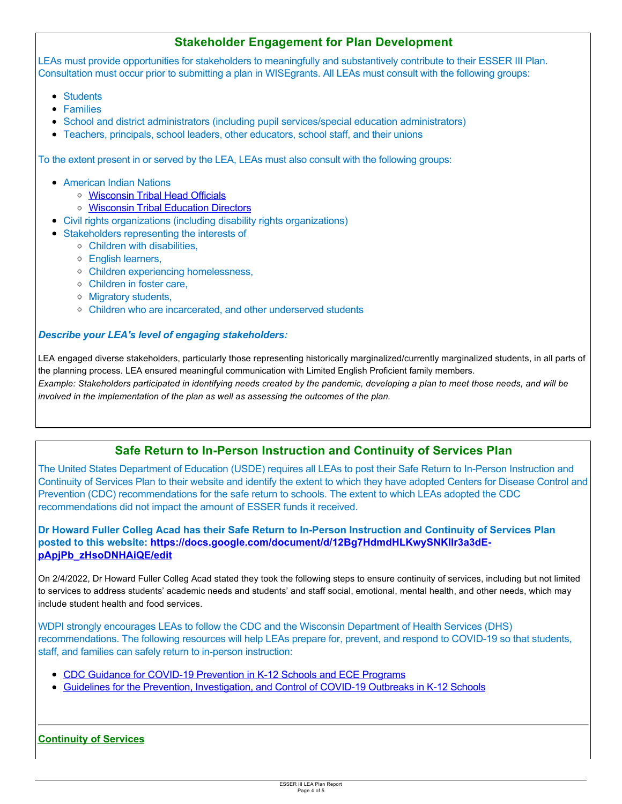# **Stakeholder Engagement for Plan Development**

LEAs must provide opportunities for stakeholders to meaningfully and substantively contribute to their ESSER III Plan. Consultation must occur prior to submitting a plan in WISEgrants. All LEAs must consult with the following groups:

- Students
- Families
- School and district administrators (including pupil services/special education administrators)
- Teachers, principals, school leaders, other educators, school staff, and their unions

To the extent present in or served by the LEA, LEAs must also consult with the following groups:

- American Indian Nations
	- [Wisconsin Tribal Head Officials](http://witribes.wi.gov/docview.asp?docid=19085&locid=57)
	- [Wisconsin Tribal Education Directors](https://wiea.net/about-wiea/wisconsin-tribal-education-directors/)
- Civil rights organizations (including disability rights organizations)
- Stakeholders representing the interests of
	- Children with disabilities,
	- English learners,
	- Children experiencing homelessness,
	- Children in foster care,
	- Migratory students,
	- Children who are incarcerated, and other underserved students

#### *Describe your LEA's level of engaging stakeholders:*

LEA engaged diverse stakeholders, particularly those representing historically marginalized/currently marginalized students, in all parts of the planning process. LEA ensured meaningful communication with Limited English Proficient family members.

*Example: Stakeholders participated in identifying needs created by the pandemic, developing a plan to meet those needs, and will be involved in the implementation of the plan as well as assessing the outcomes of the plan.* 

## **Safe Return to In-Person Instruction and Continuity of Services Plan**

The United States Department of Education (USDE) requires all LEAs to post their Safe Return to In-Person Instruction and Continuity of Services Plan to their website and identify the extent to which they have adopted Centers for Disease Control and Prevention (CDC) recommendations for the safe return to schools. The extent to which LEAs adopted the CDC recommendations did not impact the amount of ESSER funds it received.

**Dr Howard Fuller Colleg Acad has their Safe Return to In-Person Instruction and Continuity of Services Plan [posted to this website: https://docs.google.com/document/d/12Bg7HdmdHLKwySNKlIr3a3dE](https://docs.google.com/document/d/12Bg7HdmdHLKwySNKlIr3a3dE-pApjPb_zHsoDNHAiQE/edit)pApjPb\_zHsoDNHAiQE/edit**

On 2/4/2022, Dr Howard Fuller Colleg Acad stated they took the following steps to ensure continuity of services, including but not limited to services to address students' academic needs and students' and staff social, emotional, mental health, and other needs, which may include student health and food services.

WDPI strongly encourages LEAs to follow the CDC and the Wisconsin Department of Health Services (DHS) recommendations. The following resources will help LEAs prepare for, prevent, and respond to COVID-19 so that students, staff, and families can safely return to in-person instruction:

- [CDC Guidance for COVID-19 Prevention in K-12 Schools and ECE Programs](https://www.cdc.gov/coronavirus/2019-ncov/community/schools-childcare/k-12-guidance.html)
- [Guidelines for the Prevention, Investigation, and Control of COVID-19 Outbreaks in K-12 Schools](https://www.dhs.wisconsin.gov/publications/p02757.pdf)

## **Continuity of Services**